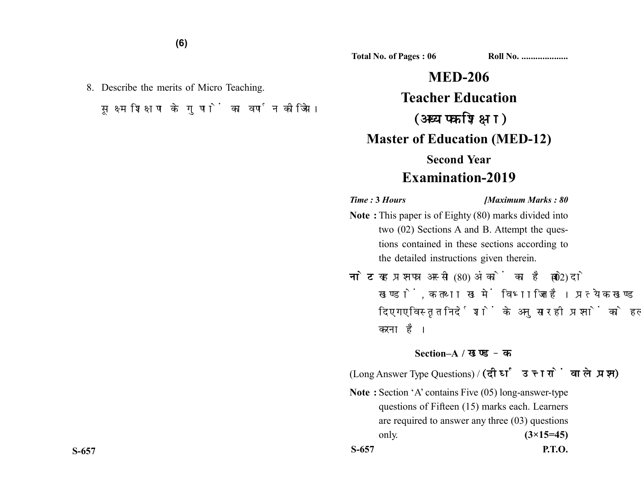8. Describe the merits of Micro Teaching. सूक्ष्म शिक्षण के गुणों का वर्णन कीजिये।

**MED-206 Teacher Education** (अध्यापक शिक्षा) **Master of Education (MED-12) Second Year Examination-2019**

**Total No. of Pages : 06 Roll No. ...................** 

## *Time :* **3** *Hours [Maximum Marks : 80*

- **Note :** This paper is of Eighty (80) marks divided into two (02) Sections A and B. Attempt the questions contained in these sections according to the detailed instructions given therein.
- नोट: यह प्रश्नपत्र अस्सी (80) अंकों का है जो दो (02) खण्डों. क तथा ख में विभाजित है। प्रत्येक खण्ड में दिए गए विस्तृत निर्देशों के अनुसार ही प्रश्नों को हल करना है।

## **Section–A /**

(Long Answer Type Questions) / (दीर्घ उत्तरों वाले प्रश्न)

**Note :** Section 'A' contains Five (05) long-answer-type questions of Fifteen (15) marks each. Learners are required to answer any three (03) questions only. **(3×15=45) S-657 P.T.O.**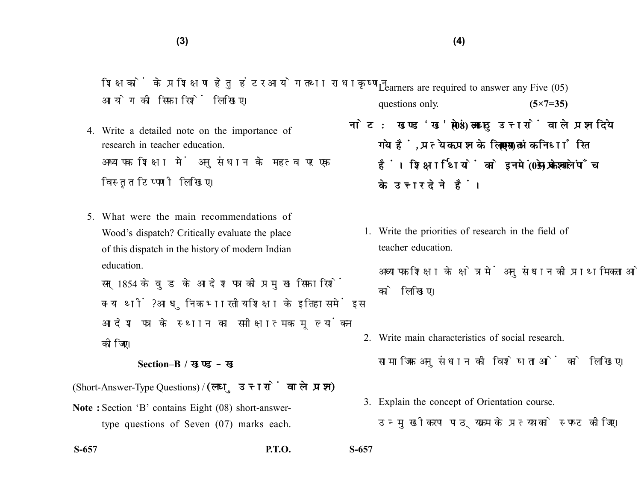शिक्षकों के प्रशिक्षण हेतु हंटर आयोग तथा राधाकृष्णन आयोग की सिफारिशें लिखिए।

- 4. Write a detailed note on the importance of research in teacher education. अध्यापक शिक्षा में अनुसंधान के महत्व पर एक विस्तृत टिप्पणी लिखिए।
- 5. What were the main recommendations of Wood's dispatch? Critically evaluate the place of this dispatch in the history of modern Indian education.

सन 1854 के वड के आदेश पत्र की प्रमख सिफारिशें क्या थीं? आधुनिक भारतीय शिक्षा के इतिहास में इस आदेश पत्र के स्थान का समीक्षात्मक मल्यांकन कोजिए।

## **Section–B /**

(Short-Answer-Type Questions) /

**Note :** Section 'B' contains Eight (08) short-answertype questions of Seven (07) marks each.

**S-657 P.T.O. S-657**

Learners are required to answer any Five (05) questions only. **(5×7=35)** 

- नोट: खण्ड'ख' में आठ (08) लघु उत्तरों वाले प्रश्न दिये गये हैं, प्रत्येक प्रश्न के लिए सात (07) अंक निर्धारित हैं। शिक्षार्थियों को इनमें से केवल पाँच (05) प्रश्नों के उत्तर देने हैं।
	- 1. Write the priorities of research in the field of teacher education.

अध्यापक शिक्षा के क्षेत्र में अनुसंधान की प्राथमिकताओं को लिखिए।

- 2. Write main characteristics of social research. सामाजिक अनुसंधान की विशेषताओं को लिखिए।
- 3. Explain the concept of Orientation course. उन्मखीकरण पाठयक्रम के प्रत्यय को स्पष्ट कीजिए।